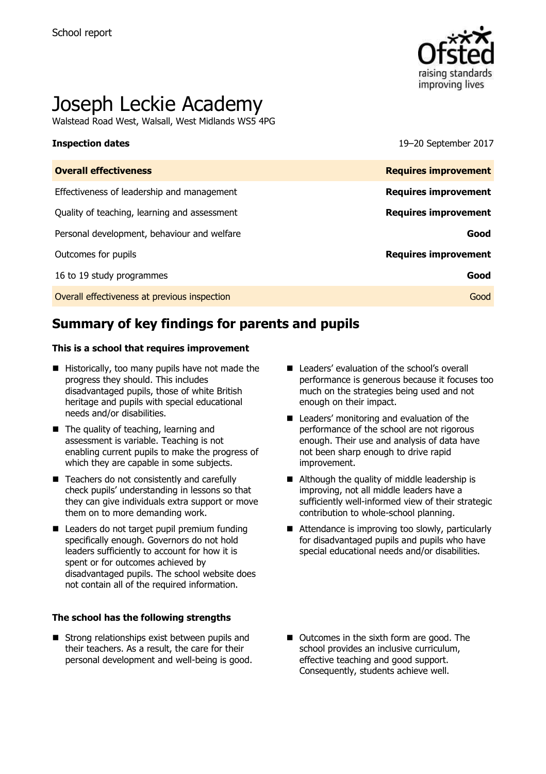

# Joseph Leckie Academy

Walstead Road West, Walsall, West Midlands WS5 4PG

**Inspection dates** 19–20 September 2017

| <b>Overall effectiveness</b>                 | <b>Requires improvement</b> |
|----------------------------------------------|-----------------------------|
| Effectiveness of leadership and management   | <b>Requires improvement</b> |
| Quality of teaching, learning and assessment | <b>Requires improvement</b> |
| Personal development, behaviour and welfare  | Good                        |
| Outcomes for pupils                          | <b>Requires improvement</b> |
| 16 to 19 study programmes                    | Good                        |
| Overall effectiveness at previous inspection | Good                        |

# **Summary of key findings for parents and pupils**

#### **This is a school that requires improvement**

- $\blacksquare$  Historically, too many pupils have not made the progress they should. This includes disadvantaged pupils, those of white British heritage and pupils with special educational needs and/or disabilities.
- The quality of teaching, learning and assessment is variable. Teaching is not enabling current pupils to make the progress of which they are capable in some subjects.
- Teachers do not consistently and carefully check pupils' understanding in lessons so that they can give individuals extra support or move them on to more demanding work.
- Leaders do not target pupil premium funding specifically enough. Governors do not hold leaders sufficiently to account for how it is spent or for outcomes achieved by disadvantaged pupils. The school website does not contain all of the required information.

#### **The school has the following strengths**

■ Strong relationships exist between pupils and their teachers. As a result, the care for their personal development and well-being is good.

- Leaders' evaluation of the school's overall performance is generous because it focuses too much on the strategies being used and not enough on their impact.
- Leaders' monitoring and evaluation of the performance of the school are not rigorous enough. Their use and analysis of data have not been sharp enough to drive rapid improvement.
- Although the quality of middle leadership is improving, not all middle leaders have a sufficiently well-informed view of their strategic contribution to whole-school planning.
- Attendance is improving too slowly, particularly for disadvantaged pupils and pupils who have special educational needs and/or disabilities.
- Outcomes in the sixth form are good. The school provides an inclusive curriculum, effective teaching and good support. Consequently, students achieve well.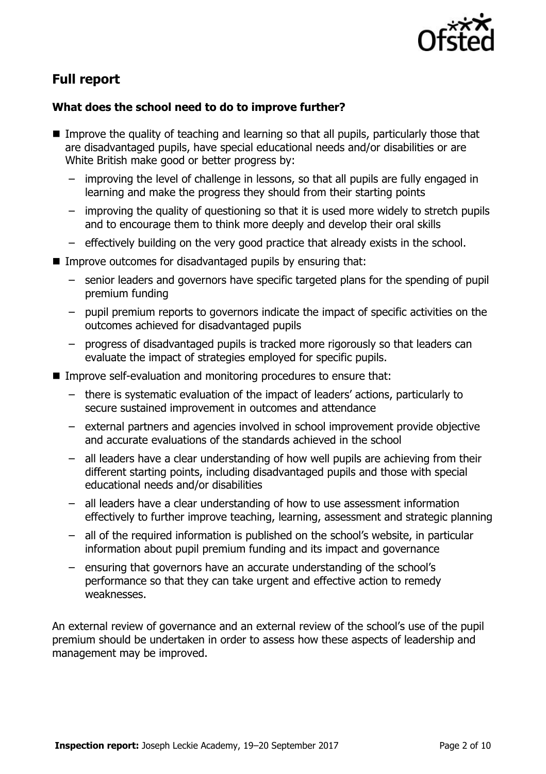

# **Full report**

### **What does the school need to do to improve further?**

- Improve the quality of teaching and learning so that all pupils, particularly those that are disadvantaged pupils, have special educational needs and/or disabilities or are White British make good or better progress by:
	- improving the level of challenge in lessons, so that all pupils are fully engaged in learning and make the progress they should from their starting points
	- improving the quality of questioning so that it is used more widely to stretch pupils and to encourage them to think more deeply and develop their oral skills
	- effectively building on the very good practice that already exists in the school.
- **IMPROVE OUTCOMES for disadvantaged pupils by ensuring that:** 
	- senior leaders and governors have specific targeted plans for the spending of pupil premium funding
	- pupil premium reports to governors indicate the impact of specific activities on the outcomes achieved for disadvantaged pupils
	- progress of disadvantaged pupils is tracked more rigorously so that leaders can evaluate the impact of strategies employed for specific pupils.
- Improve self-evaluation and monitoring procedures to ensure that:
	- there is systematic evaluation of the impact of leaders' actions, particularly to secure sustained improvement in outcomes and attendance
	- external partners and agencies involved in school improvement provide objective and accurate evaluations of the standards achieved in the school
	- all leaders have a clear understanding of how well pupils are achieving from their different starting points, including disadvantaged pupils and those with special educational needs and/or disabilities
	- all leaders have a clear understanding of how to use assessment information effectively to further improve teaching, learning, assessment and strategic planning
	- all of the required information is published on the school's website, in particular information about pupil premium funding and its impact and governance
	- ensuring that governors have an accurate understanding of the school's performance so that they can take urgent and effective action to remedy weaknesses.

An external review of governance and an external review of the school's use of the pupil premium should be undertaken in order to assess how these aspects of leadership and management may be improved.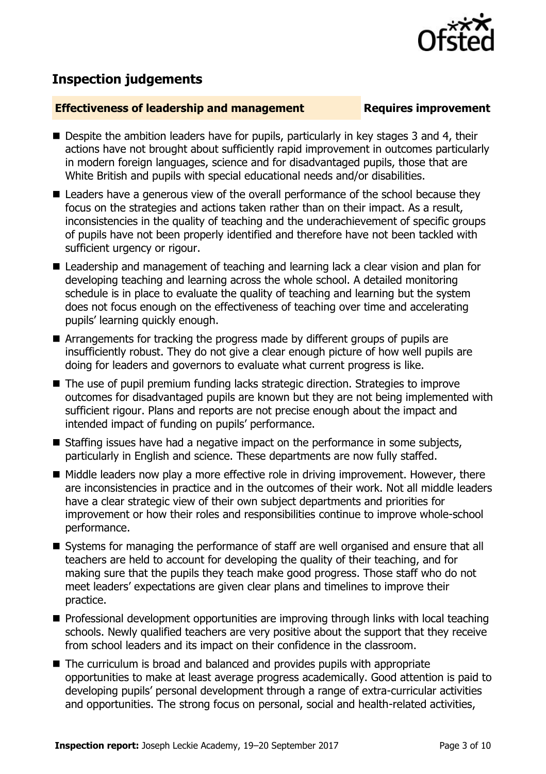

# **Inspection judgements**

#### **Effectiveness of leadership and management Requires improvement**

- Despite the ambition leaders have for pupils, particularly in key stages 3 and 4, their actions have not brought about sufficiently rapid improvement in outcomes particularly in modern foreign languages, science and for disadvantaged pupils, those that are White British and pupils with special educational needs and/or disabilities.
- Leaders have a generous view of the overall performance of the school because they focus on the strategies and actions taken rather than on their impact. As a result, inconsistencies in the quality of teaching and the underachievement of specific groups of pupils have not been properly identified and therefore have not been tackled with sufficient urgency or rigour.
- Leadership and management of teaching and learning lack a clear vision and plan for developing teaching and learning across the whole school. A detailed monitoring schedule is in place to evaluate the quality of teaching and learning but the system does not focus enough on the effectiveness of teaching over time and accelerating pupils' learning quickly enough.
- Arrangements for tracking the progress made by different groups of pupils are insufficiently robust. They do not give a clear enough picture of how well pupils are doing for leaders and governors to evaluate what current progress is like.
- The use of pupil premium funding lacks strategic direction. Strategies to improve outcomes for disadvantaged pupils are known but they are not being implemented with sufficient rigour. Plans and reports are not precise enough about the impact and intended impact of funding on pupils' performance.
- $\blacksquare$  Staffing issues have had a negative impact on the performance in some subjects, particularly in English and science. These departments are now fully staffed.
- Middle leaders now play a more effective role in driving improvement. However, there are inconsistencies in practice and in the outcomes of their work. Not all middle leaders have a clear strategic view of their own subject departments and priorities for improvement or how their roles and responsibilities continue to improve whole-school performance.
- Systems for managing the performance of staff are well organised and ensure that all teachers are held to account for developing the quality of their teaching, and for making sure that the pupils they teach make good progress. Those staff who do not meet leaders' expectations are given clear plans and timelines to improve their practice.
- **Professional development opportunities are improving through links with local teaching** schools. Newly qualified teachers are very positive about the support that they receive from school leaders and its impact on their confidence in the classroom.
- The curriculum is broad and balanced and provides pupils with appropriate opportunities to make at least average progress academically. Good attention is paid to developing pupils' personal development through a range of extra-curricular activities and opportunities. The strong focus on personal, social and health-related activities,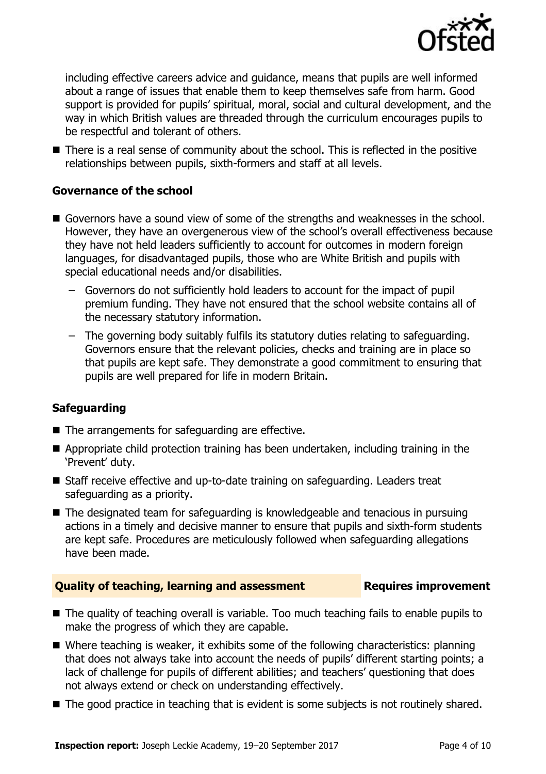

including effective careers advice and guidance, means that pupils are well informed about a range of issues that enable them to keep themselves safe from harm. Good support is provided for pupils' spiritual, moral, social and cultural development, and the way in which British values are threaded through the curriculum encourages pupils to be respectful and tolerant of others.

■ There is a real sense of community about the school. This is reflected in the positive relationships between pupils, sixth-formers and staff at all levels.

### **Governance of the school**

- Governors have a sound view of some of the strengths and weaknesses in the school. However, they have an overgenerous view of the school's overall effectiveness because they have not held leaders sufficiently to account for outcomes in modern foreign languages, for disadvantaged pupils, those who are White British and pupils with special educational needs and/or disabilities.
	- Governors do not sufficiently hold leaders to account for the impact of pupil premium funding. They have not ensured that the school website contains all of the necessary statutory information.
	- The governing body suitably fulfils its statutory duties relating to safeguarding. Governors ensure that the relevant policies, checks and training are in place so that pupils are kept safe. They demonstrate a good commitment to ensuring that pupils are well prepared for life in modern Britain.

### **Safeguarding**

- The arrangements for safeguarding are effective.
- Appropriate child protection training has been undertaken, including training in the 'Prevent' duty.
- Staff receive effective and up-to-date training on safeguarding. Leaders treat safeguarding as a priority.
- The designated team for safeguarding is knowledgeable and tenacious in pursuing actions in a timely and decisive manner to ensure that pupils and sixth-form students are kept safe. Procedures are meticulously followed when safeguarding allegations have been made.

### **Quality of teaching, learning and assessment Requires improvement**

- The quality of teaching overall is variable. Too much teaching fails to enable pupils to make the progress of which they are capable.
- Where teaching is weaker, it exhibits some of the following characteristics: planning that does not always take into account the needs of pupils' different starting points; a lack of challenge for pupils of different abilities; and teachers' questioning that does not always extend or check on understanding effectively.
- The good practice in teaching that is evident is some subjects is not routinely shared.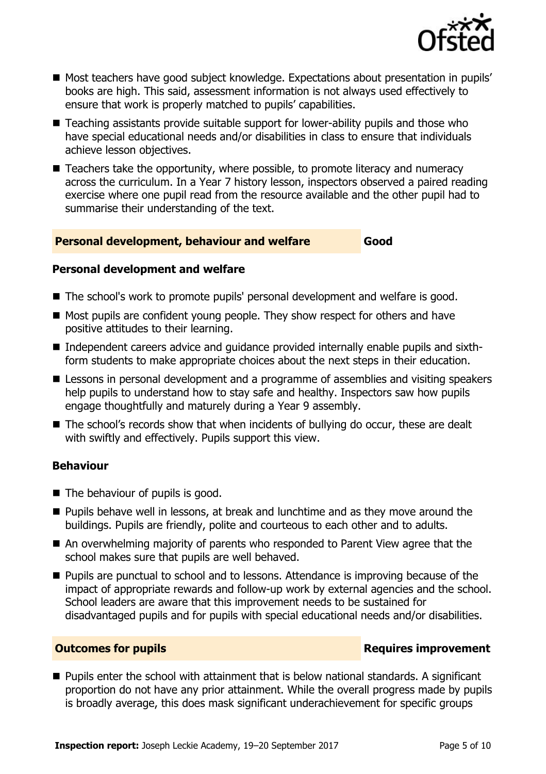

- Most teachers have good subject knowledge. Expectations about presentation in pupils' books are high. This said, assessment information is not always used effectively to ensure that work is properly matched to pupils' capabilities.
- Teaching assistants provide suitable support for lower-ability pupils and those who have special educational needs and/or disabilities in class to ensure that individuals achieve lesson objectives.
- Teachers take the opportunity, where possible, to promote literacy and numeracy across the curriculum. In a Year 7 history lesson, inspectors observed a paired reading exercise where one pupil read from the resource available and the other pupil had to summarise their understanding of the text.

#### **Personal development, behaviour and welfare Good**

#### **Personal development and welfare**

- The school's work to promote pupils' personal development and welfare is good.
- Most pupils are confident young people. They show respect for others and have positive attitudes to their learning.
- Independent careers advice and quidance provided internally enable pupils and sixthform students to make appropriate choices about the next steps in their education.
- Lessons in personal development and a programme of assemblies and visiting speakers help pupils to understand how to stay safe and healthy. Inspectors saw how pupils engage thoughtfully and maturely during a Year 9 assembly.
- The school's records show that when incidents of bullying do occur, these are dealt with swiftly and effectively. Pupils support this view.

### **Behaviour**

- $\blacksquare$  The behaviour of pupils is good.
- **Pupils behave well in lessons, at break and lunchtime and as they move around the** buildings. Pupils are friendly, polite and courteous to each other and to adults.
- An overwhelming majority of parents who responded to Parent View agree that the school makes sure that pupils are well behaved.
- **Pupils are punctual to school and to lessons. Attendance is improving because of the** impact of appropriate rewards and follow-up work by external agencies and the school. School leaders are aware that this improvement needs to be sustained for disadvantaged pupils and for pupils with special educational needs and/or disabilities.

### **Outcomes for pupils Requires improvement**

■ Pupils enter the school with attainment that is below national standards. A significant proportion do not have any prior attainment. While the overall progress made by pupils is broadly average, this does mask significant underachievement for specific groups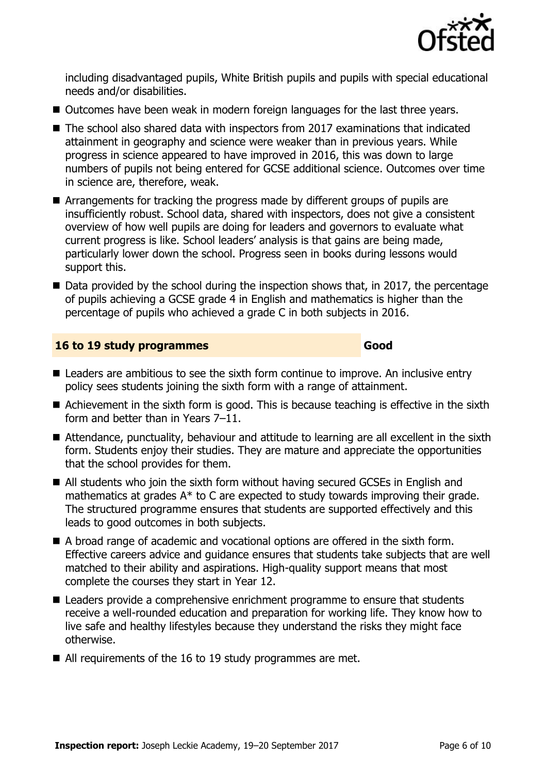

including disadvantaged pupils, White British pupils and pupils with special educational needs and/or disabilities.

- Outcomes have been weak in modern foreign languages for the last three years.
- The school also shared data with inspectors from 2017 examinations that indicated attainment in geography and science were weaker than in previous years. While progress in science appeared to have improved in 2016, this was down to large numbers of pupils not being entered for GCSE additional science. Outcomes over time in science are, therefore, weak.
- Arrangements for tracking the progress made by different groups of pupils are insufficiently robust. School data, shared with inspectors, does not give a consistent overview of how well pupils are doing for leaders and governors to evaluate what current progress is like. School leaders' analysis is that gains are being made, particularly lower down the school. Progress seen in books during lessons would support this.
- Data provided by the school during the inspection shows that, in 2017, the percentage of pupils achieving a GCSE grade 4 in English and mathematics is higher than the percentage of pupils who achieved a grade C in both subjects in 2016.

| 16 to 19 study programmes | Good |
|---------------------------|------|
|---------------------------|------|

- Leaders are ambitious to see the sixth form continue to improve. An inclusive entry policy sees students joining the sixth form with a range of attainment.
- Achievement in the sixth form is good. This is because teaching is effective in the sixth form and better than in Years 7–11.
- Attendance, punctuality, behaviour and attitude to learning are all excellent in the sixth form. Students enjoy their studies. They are mature and appreciate the opportunities that the school provides for them.
- All students who join the sixth form without having secured GCSEs in English and mathematics at grades A\* to C are expected to study towards improving their grade. The structured programme ensures that students are supported effectively and this leads to good outcomes in both subjects.
- A broad range of academic and vocational options are offered in the sixth form. Effective careers advice and guidance ensures that students take subjects that are well matched to their ability and aspirations. High-quality support means that most complete the courses they start in Year 12.
- Leaders provide a comprehensive enrichment programme to ensure that students receive a well-rounded education and preparation for working life. They know how to live safe and healthy lifestyles because they understand the risks they might face otherwise.
- All requirements of the 16 to 19 study programmes are met.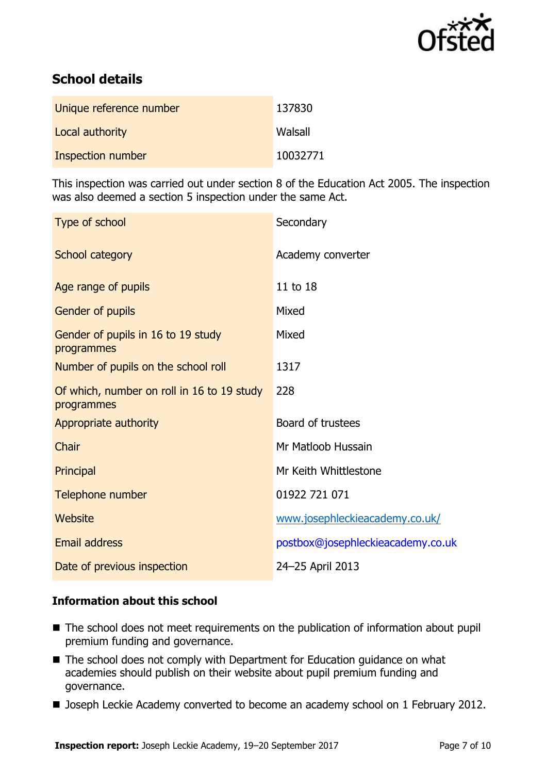

# **School details**

| Unique reference number | 137830   |
|-------------------------|----------|
| Local authority         | Walsall  |
| Inspection number       | 10032771 |

This inspection was carried out under section 8 of the Education Act 2005. The inspection was also deemed a section 5 inspection under the same Act.

| Type of school                                           | Secondary                         |
|----------------------------------------------------------|-----------------------------------|
| School category                                          | Academy converter                 |
| Age range of pupils                                      | 11 to 18                          |
| Gender of pupils                                         | Mixed                             |
| Gender of pupils in 16 to 19 study<br>programmes         | Mixed                             |
| Number of pupils on the school roll                      | 1317                              |
| Of which, number on roll in 16 to 19 study<br>programmes | 228                               |
| Appropriate authority                                    | Board of trustees                 |
| Chair                                                    | Mr Matloob Hussain                |
| Principal                                                | Mr Keith Whittlestone             |
| Telephone number                                         | 01922 721 071                     |
| Website                                                  | www.josephleckieacademy.co.uk/    |
| <b>Email address</b>                                     | postbox@josephleckieacademy.co.uk |
| Date of previous inspection                              | 24-25 April 2013                  |

### **Information about this school**

- The school does not meet requirements on the publication of information about pupil premium funding and governance.
- The school does not comply with Department for Education guidance on what academies should publish on their website about pupil premium funding and governance.
- **Joseph Leckie Academy converted to become an academy school on 1 February 2012.**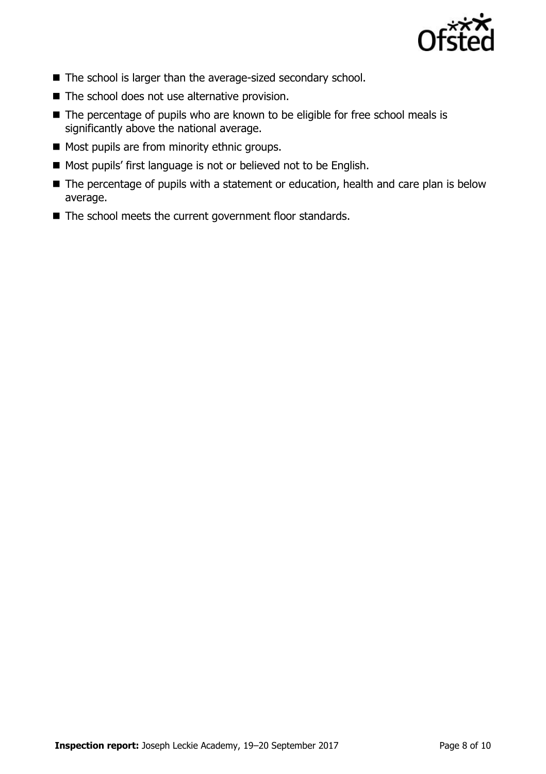

- The school is larger than the average-sized secondary school.
- The school does not use alternative provision.
- The percentage of pupils who are known to be eligible for free school meals is significantly above the national average.
- Most pupils are from minority ethnic groups.
- Most pupils' first language is not or believed not to be English.
- The percentage of pupils with a statement or education, health and care plan is below average.
- The school meets the current government floor standards.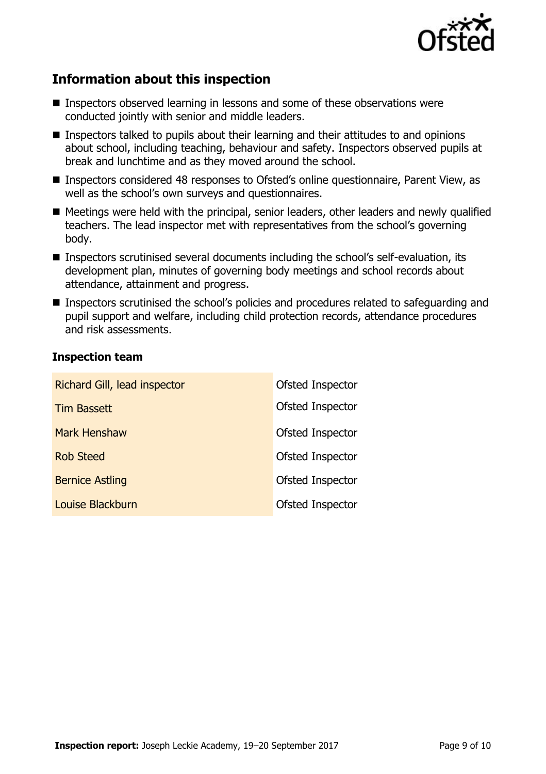

# **Information about this inspection**

- Inspectors observed learning in lessons and some of these observations were conducted jointly with senior and middle leaders.
- Inspectors talked to pupils about their learning and their attitudes to and opinions about school, including teaching, behaviour and safety. Inspectors observed pupils at break and lunchtime and as they moved around the school.
- Inspectors considered 48 responses to Ofsted's online questionnaire, Parent View, as well as the school's own surveys and questionnaires.
- Meetings were held with the principal, senior leaders, other leaders and newly qualified teachers. The lead inspector met with representatives from the school's governing body.
- Inspectors scrutinised several documents including the school's self-evaluation, its development plan, minutes of governing body meetings and school records about attendance, attainment and progress.
- Inspectors scrutinised the school's policies and procedures related to safeguarding and pupil support and welfare, including child protection records, attendance procedures and risk assessments.

### **Inspection team**

| Richard Gill, lead inspector | Ofsted Inspector |
|------------------------------|------------------|
| <b>Tim Bassett</b>           | Ofsted Inspector |
| <b>Mark Henshaw</b>          | Ofsted Inspector |
| <b>Rob Steed</b>             | Ofsted Inspector |
| <b>Bernice Astling</b>       | Ofsted Inspector |
| Louise Blackburn             | Ofsted Inspector |